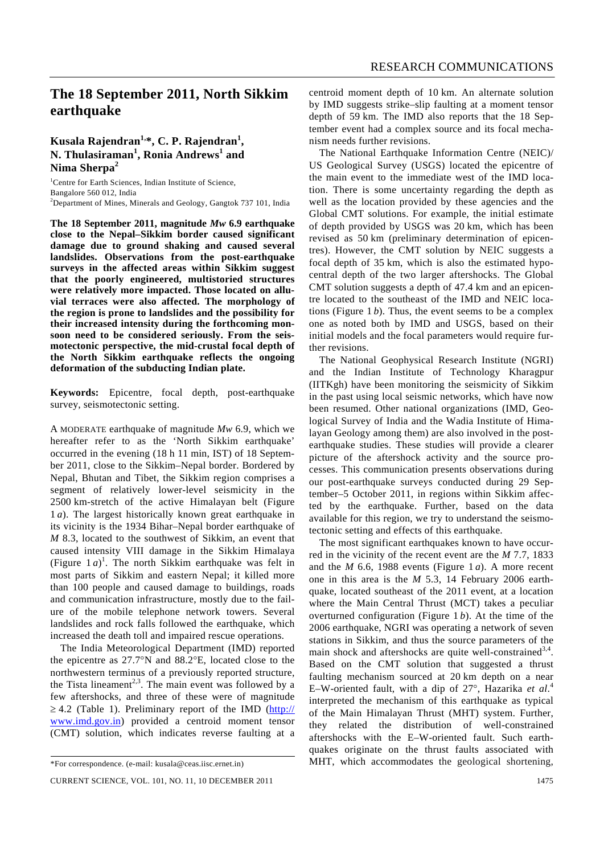## **The 18 September 2011, North Sikkim earthquake**

## **Kusala Rajendran1,\*, C. P. Rajendran1 , N. Thulasiraman<sup>1</sup> , Ronia Andrews<sup>1</sup> and Nima Sherpa<sup>2</sup>**

<sup>1</sup>Centre for Earth Sciences, Indian Institute of Science, Bangalore 560 012, India <sup>2</sup>Department of Mines, Minerals and Geology, Gangtok 737 101, India

**The 18 September 2011, magnitude** *Mw* **6.9 earthquake close to the Nepal–Sikkim border caused significant damage due to ground shaking and caused several landslides. Observations from the post-earthquake surveys in the affected areas within Sikkim suggest that the poorly engineered, multistoried structures were relatively more impacted. Those located on alluvial terraces were also affected. The morphology of the region is prone to landslides and the possibility for their increased intensity during the forthcoming monsoon need to be considered seriously. From the seismotectonic perspective, the mid-crustal focal depth of the North Sikkim earthquake reflects the ongoing deformation of the subducting Indian plate.** 

**Keywords:** Epicentre, focal depth, post-earthquake survey, seismotectonic setting.

A MODERATE earthquake of magnitude *Mw* 6.9, which we hereafter refer to as the 'North Sikkim earthquake' occurred in the evening (18 h 11 min, IST) of 18 September 2011, close to the Sikkim–Nepal border. Bordered by Nepal, Bhutan and Tibet, the Sikkim region comprises a segment of relatively lower-level seismicity in the 2500 km-stretch of the active Himalayan belt (Figure 1 *a*). The largest historically known great earthquake in its vicinity is the 1934 Bihar–Nepal border earthquake of *M* 8.3, located to the southwest of Sikkim, an event that caused intensity VIII damage in the Sikkim Himalaya (Figure  $1 a$ )<sup>1</sup>. The north Sikkim earthquake was felt in most parts of Sikkim and eastern Nepal; it killed more than 100 people and caused damage to buildings, roads and communication infrastructure, mostly due to the failure of the mobile telephone network towers. Several landslides and rock falls followed the earthquake, which increased the death toll and impaired rescue operations.

 The India Meteorological Department (IMD) reported the epicentre as 27.7°N and 88.2°E, located close to the northwestern terminus of a previously reported structure, the Tista lineament<sup>2,3</sup>. The main event was followed by a few aftershocks, and three of these were of magnitude  $\geq$  4.2 (Table 1). Preliminary report of the IMD (http:// www.imd.gov.in) provided a centroid moment tensor (CMT) solution, which indicates reverse faulting at a centroid moment depth of 10 km. An alternate solution by IMD suggests strike–slip faulting at a moment tensor depth of 59 km. The IMD also reports that the 18 September event had a complex source and its focal mechanism needs further revisions.

 The National Earthquake Information Centre (NEIC)/ US Geological Survey (USGS) located the epicentre of the main event to the immediate west of the IMD location. There is some uncertainty regarding the depth as well as the location provided by these agencies and the Global CMT solutions. For example, the initial estimate of depth provided by USGS was 20 km, which has been revised as 50 km (preliminary determination of epicentres). However, the CMT solution by NEIC suggests a focal depth of 35 km, which is also the estimated hypocentral depth of the two larger aftershocks. The Global CMT solution suggests a depth of 47.4 km and an epicentre located to the southeast of the IMD and NEIC locations (Figure 1 *b*). Thus, the event seems to be a complex one as noted both by IMD and USGS, based on their initial models and the focal parameters would require further revisions.

 The National Geophysical Research Institute (NGRI) and the Indian Institute of Technology Kharagpur (IITKgh) have been monitoring the seismicity of Sikkim in the past using local seismic networks, which have now been resumed. Other national organizations (IMD, Geological Survey of India and the Wadia Institute of Himalayan Geology among them) are also involved in the postearthquake studies. These studies will provide a clearer picture of the aftershock activity and the source processes. This communication presents observations during our post-earthquake surveys conducted during 29 September–5 October 2011, in regions within Sikkim affected by the earthquake. Further, based on the data available for this region, we try to understand the seismotectonic setting and effects of this earthquake.

 The most significant earthquakes known to have occurred in the vicinity of the recent event are the *M* 7.7, 1833 and the *M* 6.6, 1988 events (Figure 1 *a*). A more recent one in this area is the *M* 5.3, 14 February 2006 earthquake, located southeast of the 2011 event, at a location where the Main Central Thrust (MCT) takes a peculiar overturned configuration (Figure 1 *b*). At the time of the 2006 earthquake, NGRI was operating a network of seven stations in Sikkim, and thus the source parameters of the main shock and aftershocks are quite well-constrained  $3,4$ . Based on the CMT solution that suggested a thrust faulting mechanism sourced at 20 km depth on a near E–W-oriented fault, with a dip of 27°, Hazarika *et al*. 4  $\ddot{\phantom{a}}$ interpreted the mechanism of this earthquake as typical of the Main Himalayan Thrust (MHT) system. Further, they related the distribution of well-constrained aftershocks with the E–W-oriented fault. Such earthquakes originate on the thrust faults associated with MHT, which accommodates the geological shortening,

<sup>\*</sup>For correspondence. (e-mail: kusala@ceas.iisc.ernet.in)

CURRENT SCIENCE, VOL. 101, NO. 11, 10 DECEMBER 2011 1475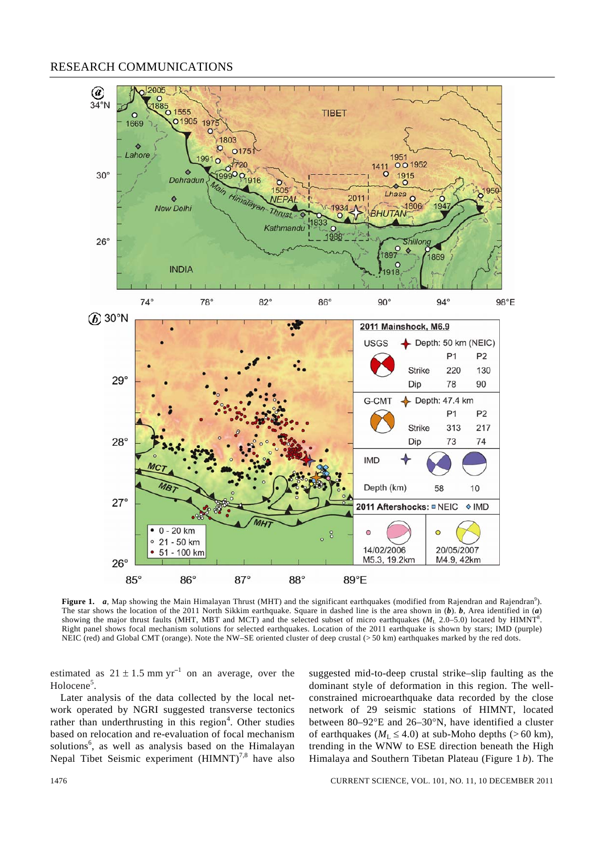## RESEARCH COMMUNICATIONS



Figure 1. *a*, Map showing the Main Himalayan Thrust (MHT) and the significant earthquakes (modified from Rajendran and Rajendran<sup>9</sup>). The star shows the location of the 2011 North Sikkim earthquake. Square in dashed line is the area shown in (*b*). *b*, Area identified in (*a*) showing the major thrust faults (MHT, MBT and MCT) and the selected subset of micro earthquakes (*M*<sub>L</sub> 2.0–5.0) located by HIMNT<sup>8</sup> . Right panel shows focal mechanism solutions for selected earthquakes. Location of the 2011 earthquake is shown by stars; IMD (purple) NEIC (red) and Global CMT (orange). Note the NW–SE oriented cluster of deep crustal (> 50 km) earthquakes marked by the red dots.

estimated as  $21 \pm 1.5$  mm yr<sup>-1</sup> on an average, over the Holocene<sup>5</sup>.

 Later analysis of the data collected by the local network operated by NGRI suggested transverse tectonics rather than underthrusting in this region<sup>4</sup>. Other studies based on relocation and re-evaluation of focal mechanism solutions<sup>6</sup>, as well as analysis based on the Himalayan Nepal Tibet Seismic experiment  $(HIMNT)^{7,8}$  have also

suggested mid-to-deep crustal strike–slip faulting as the dominant style of deformation in this region. The wellconstrained microearthquake data recorded by the close network of 29 seismic stations of HIMNT, located between 80–92°E and 26–30°N, have identified a cluster of earthquakes ( $M_L \leq 4.0$ ) at sub-Moho depths (>60 km), trending in the WNW to ESE direction beneath the High Himalaya and Southern Tibetan Plateau (Figure 1 *b*). The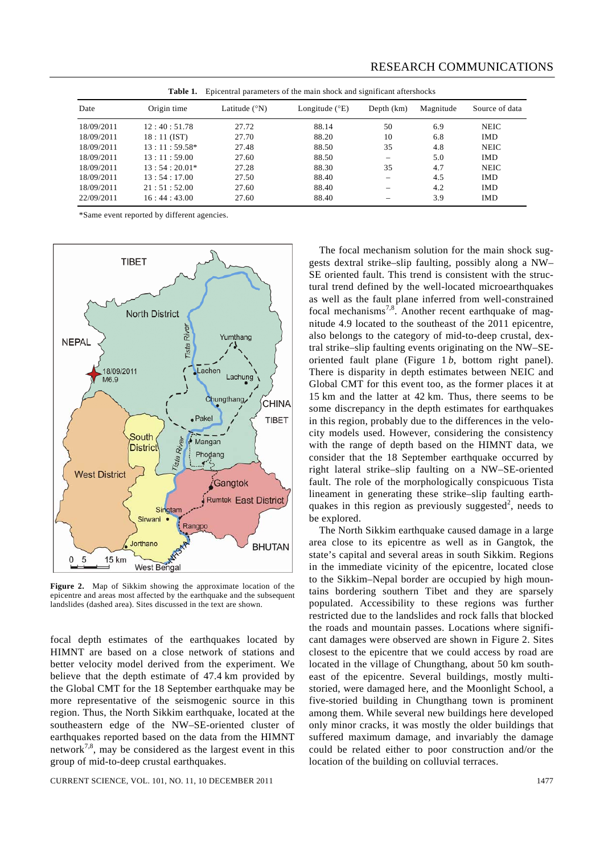| <b>RESEARCH COMMUNICATIONS</b> |
|--------------------------------|
|                                |

| Epicentral parameters of the main shock and significant aftershocks<br>Table 1. |                |                        |                         |              |           |                |  |
|---------------------------------------------------------------------------------|----------------|------------------------|-------------------------|--------------|-----------|----------------|--|
| Date                                                                            | Origin time    | Latitude $(^{\circ}N)$ | Longitude $(^{\circ}E)$ | Depth $(km)$ | Magnitude | Source of data |  |
| 18/09/2011                                                                      | 12:40:51.78    | 27.72                  | 88.14                   | 50           | 6.9       | <b>NEIC</b>    |  |
| 18/09/2011                                                                      | $18:11$ (IST)  | 27.70                  | 88.20                   | 10           | 6.8       | <b>IMD</b>     |  |
| 18/09/2011                                                                      | $13:11:59.58*$ | 27.48                  | 88.50                   | 35           | 4.8       | <b>NEIC</b>    |  |
| 18/09/2011                                                                      | 13:11:59.00    | 27.60                  | 88.50                   |              | 5.0       | <b>IMD</b>     |  |
| 18/09/2011                                                                      | $13:54:20.01*$ | 27.28                  | 88.30                   | 35           | 4.7       | <b>NEIC</b>    |  |
| 18/09/2011                                                                      | 13:54:17.00    | 27.50                  | 88.40                   |              | 4.5       | <b>IMD</b>     |  |
| 18/09/2011                                                                      | 21:51:52.00    | 27.60                  | 88.40                   |              | 4.2       | <b>IMD</b>     |  |
| 22/09/2011                                                                      | 16:44:43.00    | 27.60                  | 88.40                   |              | 3.9       | <b>IMD</b>     |  |

\*Same event reported by different agencies.



**Figure 2.** Map of Sikkim showing the approximate location of the epicentre and areas most affected by the earthquake and the subsequent landslides (dashed area). Sites discussed in the text are shown.

focal depth estimates of the earthquakes located by HIMNT are based on a close network of stations and better velocity model derived from the experiment. We believe that the depth estimate of 47.4 km provided by the Global CMT for the 18 September earthquake may be more representative of the seismogenic source in this region. Thus, the North Sikkim earthquake, located at the southeastern edge of the NW–SE-oriented cluster of earthquakes reported based on the data from the HIMNT network<sup>7,8</sup>, may be considered as the largest event in this group of mid-to-deep crustal earthquakes.

CURRENT SCIENCE, VOL. 101, NO. 11, 10 DECEMBER 2011 1477

 The focal mechanism solution for the main shock suggests dextral strike–slip faulting, possibly along a NW– SE oriented fault. This trend is consistent with the structural trend defined by the well-located microearthquakes as well as the fault plane inferred from well-constrained focal mechanisms<sup>7,8</sup>. Another recent earthquake of magnitude 4.9 located to the southeast of the 2011 epicentre, also belongs to the category of mid-to-deep crustal, dextral strike–slip faulting events originating on the NW–SEoriented fault plane (Figure 1 *b*, bottom right panel). There is disparity in depth estimates between NEIC and Global CMT for this event too, as the former places it at 15 km and the latter at 42 km. Thus, there seems to be some discrepancy in the depth estimates for earthquakes in this region, probably due to the differences in the velocity models used. However, considering the consistency with the range of depth based on the HIMNT data, we consider that the 18 September earthquake occurred by right lateral strike–slip faulting on a NW–SE-oriented fault. The role of the morphologically conspicuous Tista lineament in generating these strike–slip faulting earthquakes in this region as previously suggested<sup>2</sup>, needs to be explored.

 The North Sikkim earthquake caused damage in a large area close to its epicentre as well as in Gangtok, the state's capital and several areas in south Sikkim. Regions in the immediate vicinity of the epicentre, located close to the Sikkim–Nepal border are occupied by high mountains bordering southern Tibet and they are sparsely populated. Accessibility to these regions was further restricted due to the landslides and rock falls that blocked the roads and mountain passes. Locations where significant damages were observed are shown in Figure 2. Sites closest to the epicentre that we could access by road are located in the village of Chungthang, about 50 km southeast of the epicentre. Several buildings, mostly multistoried, were damaged here, and the Moonlight School, a five-storied building in Chungthang town is prominent among them. While several new buildings here developed only minor cracks, it was mostly the older buildings that suffered maximum damage, and invariably the damage could be related either to poor construction and/or the location of the building on colluvial terraces.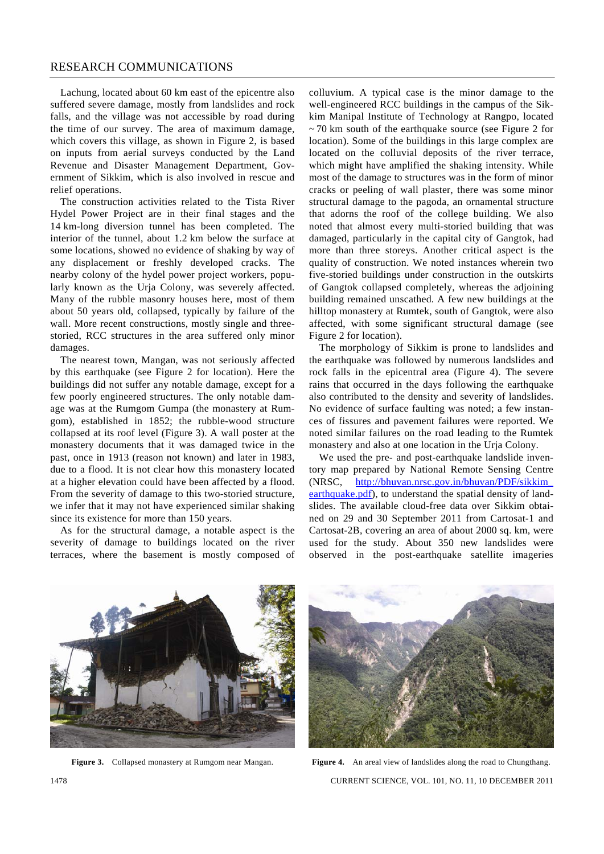## RESEARCH COMMUNICATIONS

 Lachung, located about 60 km east of the epicentre also suffered severe damage, mostly from landslides and rock falls, and the village was not accessible by road during the time of our survey. The area of maximum damage, which covers this village, as shown in Figure 2, is based on inputs from aerial surveys conducted by the Land Revenue and Disaster Management Department, Government of Sikkim, which is also involved in rescue and relief operations.

 The construction activities related to the Tista River Hydel Power Project are in their final stages and the 14 km-long diversion tunnel has been completed. The interior of the tunnel, about 1.2 km below the surface at some locations, showed no evidence of shaking by way of any displacement or freshly developed cracks. The nearby colony of the hydel power project workers, popularly known as the Urja Colony, was severely affected. Many of the rubble masonry houses here, most of them about 50 years old, collapsed, typically by failure of the wall. More recent constructions, mostly single and threestoried, RCC structures in the area suffered only minor damages.

 The nearest town, Mangan, was not seriously affected by this earthquake (see Figure 2 for location). Here the buildings did not suffer any notable damage, except for a few poorly engineered structures. The only notable damage was at the Rumgom Gumpa (the monastery at Rumgom), established in 1852; the rubble-wood structure collapsed at its roof level (Figure 3). A wall poster at the monastery documents that it was damaged twice in the past, once in 1913 (reason not known) and later in 1983, due to a flood. It is not clear how this monastery located at a higher elevation could have been affected by a flood. From the severity of damage to this two-storied structure, we infer that it may not have experienced similar shaking since its existence for more than 150 years.

 As for the structural damage, a notable aspect is the severity of damage to buildings located on the river terraces, where the basement is mostly composed of colluvium. A typical case is the minor damage to the well-engineered RCC buildings in the campus of the Sikkim Manipal Institute of Technology at Rangpo, located  $\sim$  70 km south of the earthquake source (see Figure 2 for location). Some of the buildings in this large complex are located on the colluvial deposits of the river terrace, which might have amplified the shaking intensity. While most of the damage to structures was in the form of minor cracks or peeling of wall plaster, there was some minor structural damage to the pagoda, an ornamental structure that adorns the roof of the college building. We also noted that almost every multi-storied building that was damaged, particularly in the capital city of Gangtok, had more than three storeys. Another critical aspect is the quality of construction. We noted instances wherein two five-storied buildings under construction in the outskirts of Gangtok collapsed completely, whereas the adjoining building remained unscathed. A few new buildings at the hilltop monastery at Rumtek, south of Gangtok, were also affected, with some significant structural damage (see Figure 2 for location).

 The morphology of Sikkim is prone to landslides and the earthquake was followed by numerous landslides and rock falls in the epicentral area (Figure 4). The severe rains that occurred in the days following the earthquake also contributed to the density and severity of landslides. No evidence of surface faulting was noted; a few instances of fissures and pavement failures were reported. We noted similar failures on the road leading to the Rumtek monastery and also at one location in the Urja Colony.

 We used the pre- and post-earthquake landslide inventory map prepared by National Remote Sensing Centre (NRSC, http://bhuvan.nrsc.gov.in/bhuvan/PDF/sikkim\_ earthquake.pdf), to understand the spatial density of landslides. The available cloud-free data over Sikkim obtained on 29 and 30 September 2011 from Cartosat-1 and Cartosat-2B, covering an area of about 2000 sq. km, were used for the study. About 350 new landslides were observed in the post-earthquake satellite imageries



**Figure 3.** Collapsed monastery at Rumgom near Mangan.



1478 CURRENT SCIENCE, VOL. 101, NO. 11, 10 DECEMBER 2011 **Figure 4.** An areal view of landslides along the road to Chungthang.